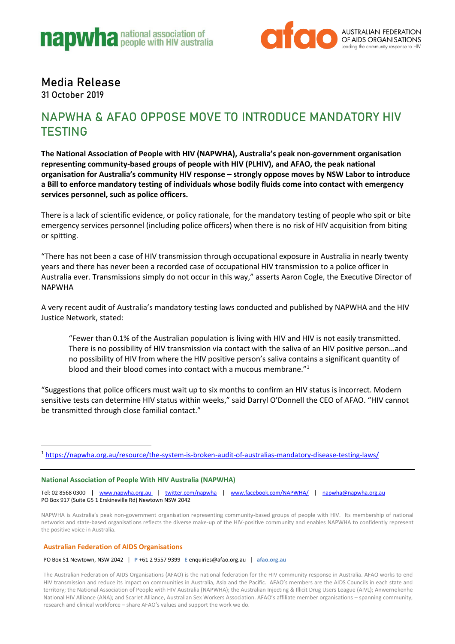



## Media Release

31 October 2019

### NAPWHA & AFAO OPPOSE MOVE TO INTRODUCE MANDATORY HIV **TESTING**

**The National Association of People with HIV (NAPWHA), Australia's peak non-government organisation representing community-based groups of people with HIV (PLHIV), and AFAO, the peak national organisation for Australia's community HIV response – strongly oppose moves by NSW Labor to introduce a Bill to enforce mandatory testing of individuals whose bodily fluids come into contact with emergency services personnel, such as police officers.** 

There is a lack of scientific evidence, or policy rationale, for the mandatory testing of people who spit or bite emergency services personnel (including police officers) when there is no risk of HIV acquisition from biting or spitting.

"There has not been a case of HIV transmission through occupational exposure in Australia in nearly twenty years and there has never been a recorded case of occupational HIV transmission to a police officer in Australia ever. Transmissions simply do not occur in this way," asserts Aaron Cogle, the Executive Director of NAPWHA

A very recent audit of Australia's mandatory testing laws conducted and published by NAPWHA and the HIV Justice Network, stated:

"Fewer than 0.1% of the Australian population is living with HIV and HIV is not easily transmitted. There is no possibility of HIV transmission via contact with the saliva of an HIV positive person…and no possibility of HIV from where the HIV positive person's saliva contains a significant quantity of blood and their blood comes into contact with a mucous membrane."<sup>1</sup>

"Suggestions that police officers must wait up to six months to confirm an HIV status is incorrect. Modern sensitive tests can determine HIV status within weeks," said Darryl O'Donnell the CEO of AFAO. "HIV cannot be transmitted through close familial contact."

<sup>1</sup> <https://napwha.org.au/resource/the-system-is-broken-audit-of-australias-mandatory-disease-testing-laws/>

#### **National Association of People With HIV Australia (NAPWHA)**

Tel: 02 8568 0300 | [www.napwha.org.au](http://www.napwha.org.au/) | [twitter.com/napwha](mailto:twitter.com/napwha) | [www.facebook.com/NAPWHA/](http://www.facebook.com/NAPWHA/) | [napwha@napwha.org.au](mailto:napwha@napwha.org.au) PO Box 917 (Suite G5 1 Erskineville Rd) Newtown NSW 2042

NAPWHA is Australia's peak non-government organisation representing community-based groups of people with HIV. Its membership of national networks and state-based organisations reflects the diverse make-up of the HIV-positive community and enables NAPWHA to confidently represent the positive voice in Australia.

#### **Australian Federation of AIDS Organisations**

PO Box 51 Newtown, NSW 2042 | **P** +61 2 9557 9399 **E** enquiries@afao.org.au | **afao.org.au** 

The Australian Federation of AIDS Organisations (AFAO) is the national federation for the HIV community response in Australia. AFAO works to end HIV transmission and reduce its impact on communities in Australia, Asia and the Pacific. AFAO's members are the AIDS Councils in each state and territory; the National Association of People with HIV Australia (NAPWHA); the Australian Injecting & Illicit Drug Users League (AIVL); Anwernekenhe National HIV Alliance (ANA); and Scarlet Alliance, Australian Sex Workers Association. AFAO's affiliate member organisations – spanning community, research and clinical workforce – share AFAO's values and support the work we do.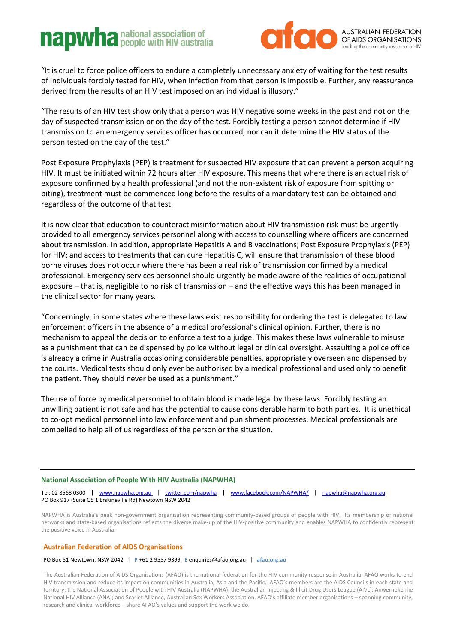# **napwhanational association of**



"It is cruel to force police officers to endure a completely unnecessary anxiety of waiting for the test results of individuals forcibly tested for HIV, when infection from that person is impossible. Further, any reassurance derived from the results of an HIV test imposed on an individual is illusory."

"The results of an HIV test show only that a person was HIV negative some weeks in the past and not on the day of suspected transmission or on the day of the test. Forcibly testing a person cannot determine if HIV transmission to an emergency services officer has occurred, nor can it determine the HIV status of the person tested on the day of the test."

Post Exposure Prophylaxis (PEP) is treatment for suspected HIV exposure that can prevent a person acquiring HIV. It must be initiated within 72 hours after HIV exposure. This means that where there is an actual risk of exposure confirmed by a health professional (and not the non-existent risk of exposure from spitting or biting), treatment must be commenced long before the results of a mandatory test can be obtained and regardless of the outcome of that test.

It is now clear that education to counteract misinformation about HIV transmission risk must be urgently provided to all emergency services personnel along with access to counselling where officers are concerned about transmission. In addition, appropriate Hepatitis A and B vaccinations; Post Exposure Prophylaxis (PEP) for HIV; and access to treatments that can cure Hepatitis C, will ensure that transmission of these blood borne viruses does not occur where there has been a real risk of transmission confirmed by a medical professional. Emergency services personnel should urgently be made aware of the realities of occupational exposure – that is, negligible to no risk of transmission – and the effective ways this has been managed in the clinical sector for many years.

"Concerningly, in some states where these laws exist responsibility for ordering the test is delegated to law enforcement officers in the absence of a medical professional's clinical opinion. Further, there is no mechanism to appeal the decision to enforce a test to a judge. This makes these laws vulnerable to misuse as a punishment that can be dispensed by police without legal or clinical oversight. Assaulting a police office is already a crime in Australia occasioning considerable penalties, appropriately overseen and dispensed by the courts. Medical tests should only ever be authorised by a medical professional and used only to benefit the patient. They should never be used as a punishment."

The use of force by medical personnel to obtain blood is made legal by these laws. Forcibly testing an unwilling patient is not safe and has the potential to cause considerable harm to both parties. It is unethical to co-opt medical personnel into law enforcement and punishment processes. Medical professionals are compelled to help all of us regardless of the person or the situation.

#### **National Association of People With HIV Australia (NAPWHA)**

Tel: 02 8568 0300 | [www.napwha.org.au](http://www.napwha.org.au/) | [twitter.com/napwha](mailto:twitter.com/napwha) | [www.facebook.com/NAPWHA/](http://www.facebook.com/NAPWHA/) | [napwha@napwha.org.au](mailto:napwha@napwha.org.au) PO Box 917 (Suite G5 1 Erskineville Rd) Newtown NSW 2042

NAPWHA is Australia's peak non-government organisation representing community-based groups of people with HIV. Its membership of national networks and state-based organisations reflects the diverse make-up of the HIV-positive community and enables NAPWHA to confidently represent the positive voice in Australia.

#### **Australian Federation of AIDS Organisations**

PO Box 51 Newtown, NSW 2042 | **P** +61 2 9557 9399 **E** enquiries@afao.org.au | **afao.org.au** 

The Australian Federation of AIDS Organisations (AFAO) is the national federation for the HIV community response in Australia. AFAO works to end HIV transmission and reduce its impact on communities in Australia, Asia and the Pacific. AFAO's members are the AIDS Councils in each state and territory; the National Association of People with HIV Australia (NAPWHA); the Australian Injecting & Illicit Drug Users League (AIVL); Anwernekenhe National HIV Alliance (ANA); and Scarlet Alliance, Australian Sex Workers Association. AFAO's affiliate member organisations – spanning community, research and clinical workforce – share AFAO's values and support the work we do.